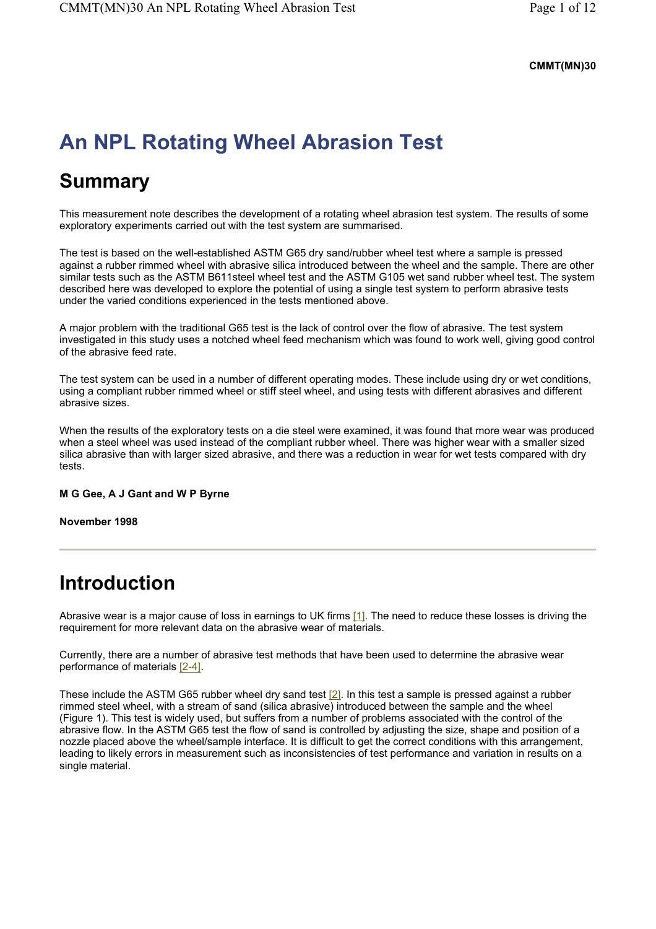#### **CMMT(MN)30**

# **An NPL Rotating Wheel Abrasion Test**

# **Summary**

This measurement note describes the development of a rotating wheel abrasion test system. The results of some exploratory experiments carried out with the test system are summarised.

The test is based on the well-established ASTM G65 dry sand/rubber wheel test where a sample is pressed against a rubber rimmed wheel with abrasive silica introduced between the wheel and the sample. There are other similar tests such as the ASTM B611steel wheel test and the ASTM G105 wet sand rubber wheel test. The system described here was developed to explore the potential of using a single test system to perform abrasive tests under the varied conditions experienced in the tests mentioned above.

A major problem with the traditional G65 test is the lack of control over the flow of abrasive. The test system investigated in this study uses a notched wheel feed mechanism which was found to work well, giving good control of the abrasive feed rate.

The test system can be used in a number of different operating modes. These include using dry or wet conditions, using a compliant rubber rimmed wheel or stiff steel wheel, and using tests with different abrasives and different abrasive sizes.

When the results of the exploratory tests on a die steel were examined, it was found that more wear was produced when a steel wheel was used instead of the compliant rubber wheel. There was higher wear with a smaller sized silica abrasive than with larger sized abrasive, and there was a reduction in wear for wet tests compared with dry tests.

### **M G Gee, A J Gant and W P Byrne**

### **November 1998**

# **Introduction**

Abrasive wear is a major cause of loss in earnings to UK firms [1]. The need to reduce these losses is driving the requirement for more relevant data on the abrasive wear of materials.

Currently, there are a number of abrasive test methods that have been used to determine the abrasive wear performance of materials [2-4].

These include the ASTM G65 rubber wheel dry sand test  $[2]$ . In this test a sample is pressed against a rubber rimmed steel wheel, with a stream of sand (silica abrasive) introduced between the sample and the wheel (Figure 1). This test is widely used, but suffers from a number of problems associated with the control of the abrasive flow. In the ASTM G65 test the flow of sand is controlled by adjusting the size, shape and position of a nozzle placed above the wheel/sample interface. It is difficult to get the correct conditions with this arrangement, leading to likely errors in measurement such as inconsistencies of test performance and variation in results on a single material.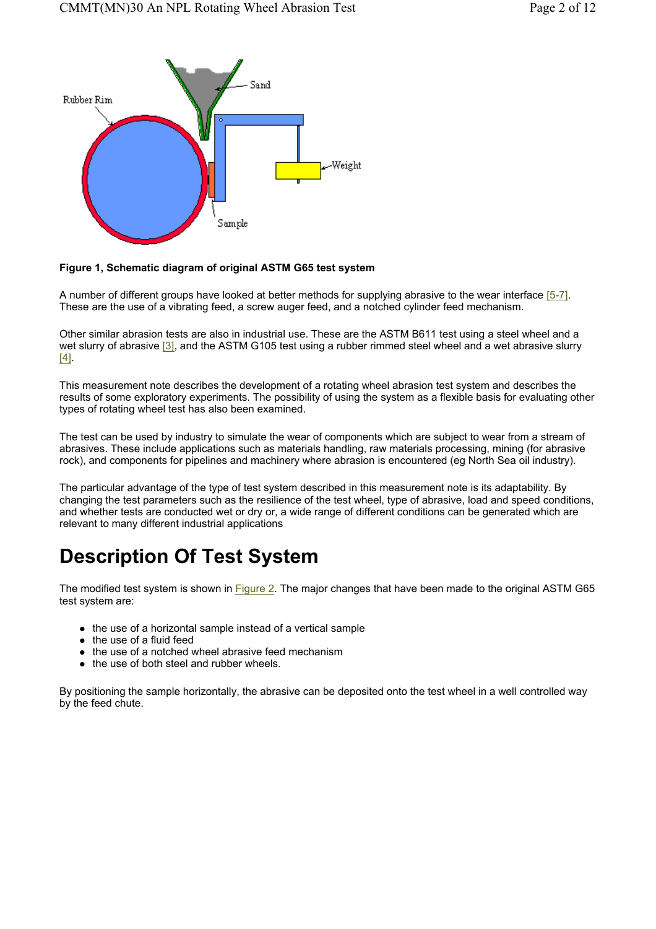

#### **Figure 1, Schematic diagram of original ASTM G65 test system**

A number of different groups have looked at better methods for supplying abrasive to the wear interface [5-7]. These are the use of a vibrating feed, a screw auger feed, and a notched cylinder feed mechanism.

Other similar abrasion tests are also in industrial use. These are the ASTM B611 test using a steel wheel and a wet slurry of abrasive [3], and the ASTM G105 test using a rubber rimmed steel wheel and a wet abrasive slurry [4].

This measurement note describes the development of a rotating wheel abrasion test system and describes the results of some exploratory experiments. The possibility of using the system as a flexible basis for evaluating other types of rotating wheel test has also been examined.

The test can be used by industry to simulate the wear of components which are subject to wear from a stream of abrasives. These include applications such as materials handling, raw materials processing, mining (for abrasive rock), and components for pipelines and machinery where abrasion is encountered (eg North Sea oil industry).

The particular advantage of the type of test system described in this measurement note is its adaptability. By changing the test parameters such as the resilience of the test wheel, type of abrasive, load and speed conditions, and whether tests are conducted wet or dry or, a wide range of different conditions can be generated which are relevant to many different industrial applications

# **Description Of Test System**

The modified test system is shown in Figure 2. The major changes that have been made to the original ASTM G65 test system are:

- $\bullet$  the use of a horizontal sample instead of a vertical sample
- $\bullet$  the use of a fluid feed
- $\bullet$  the use of a notched wheel abrasive feed mechanism
- $\bullet$  the use of both steel and rubber wheels.

By positioning the sample horizontally, the abrasive can be deposited onto the test wheel in a well controlled way by the feed chute.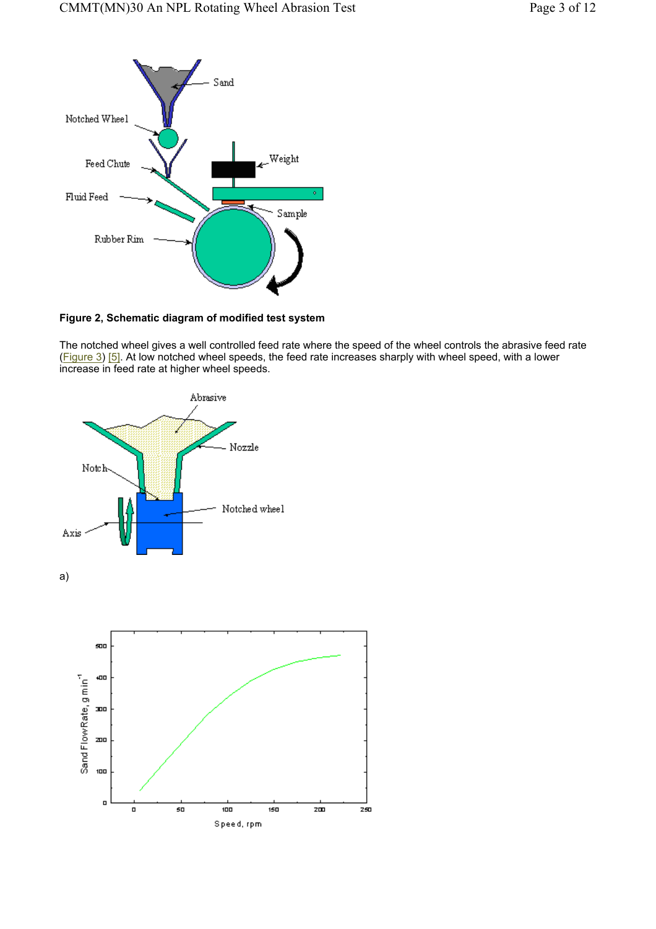

**Figure 2, Schematic diagram of modified test system** 

The notched wheel gives a well controlled feed rate where the speed of the wheel controls the abrasive feed rate (Figure 3) [5]. At low notched wheel speeds, the feed rate increases sharply with wheel speed, with a lower increase in feed rate at higher wheel speeds.



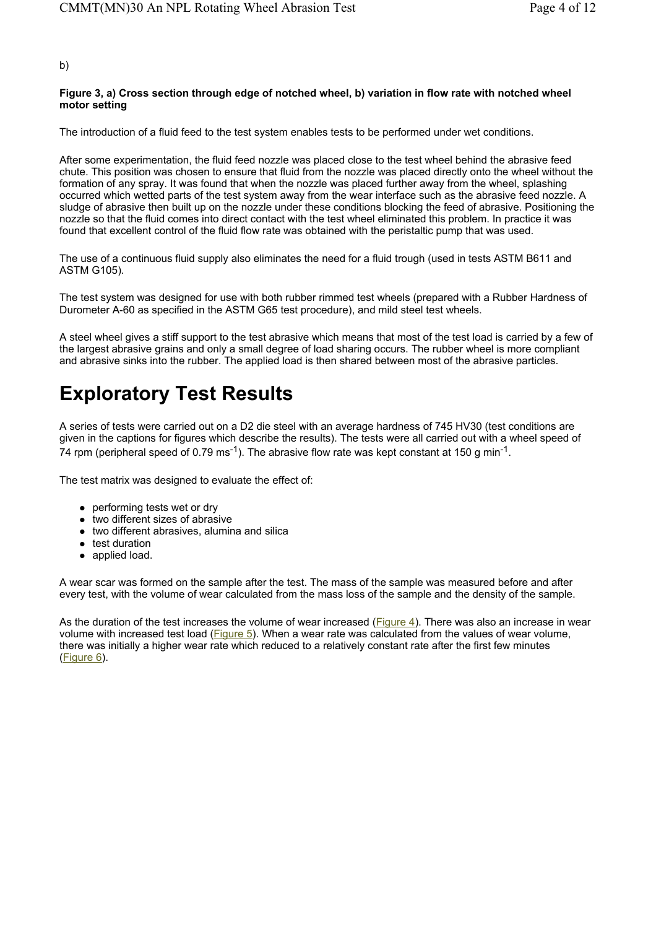#### b)

#### **Figure 3, a) Cross section through edge of notched wheel, b) variation in flow rate with notched wheel motor setting**

The introduction of a fluid feed to the test system enables tests to be performed under wet conditions.

After some experimentation, the fluid feed nozzle was placed close to the test wheel behind the abrasive feed chute. This position was chosen to ensure that fluid from the nozzle was placed directly onto the wheel without the formation of any spray. It was found that when the nozzle was placed further away from the wheel, splashing occurred which wetted parts of the test system away from the wear interface such as the abrasive feed nozzle. A sludge of abrasive then built up on the nozzle under these conditions blocking the feed of abrasive. Positioning the nozzle so that the fluid comes into direct contact with the test wheel eliminated this problem. In practice it was found that excellent control of the fluid flow rate was obtained with the peristaltic pump that was used.

The use of a continuous fluid supply also eliminates the need for a fluid trough (used in tests ASTM B611 and ASTM G105).

The test system was designed for use with both rubber rimmed test wheels (prepared with a Rubber Hardness of Durometer A-60 as specified in the ASTM G65 test procedure), and mild steel test wheels.

A steel wheel gives a stiff support to the test abrasive which means that most of the test load is carried by a few of the largest abrasive grains and only a small degree of load sharing occurs. The rubber wheel is more compliant and abrasive sinks into the rubber. The applied load is then shared between most of the abrasive particles.

# **Exploratory Test Results**

A series of tests were carried out on a D2 die steel with an average hardness of 745 HV30 (test conditions are given in the captions for figures which describe the results). The tests were all carried out with a wheel speed of 74 rpm (peripheral speed of 0.79 ms<sup>-1</sup>). The abrasive flow rate was kept constant at 150 g min<sup>-1</sup>.

The test matrix was designed to evaluate the effect of:

- $\bullet$  performing tests wet or dry
- $\bullet$  two different sizes of abrasive
- $\bullet$  two different abrasives, alumina and silica
- $\bullet$  test duration
- applied load.

A wear scar was formed on the sample after the test. The mass of the sample was measured before and after every test, with the volume of wear calculated from the mass loss of the sample and the density of the sample.

As the duration of the test increases the volume of wear increased (Figure 4). There was also an increase in wear volume with increased test load (Figure 5). When a wear rate was calculated from the values of wear volume, there was initially a higher wear rate which reduced to a relatively constant rate after the first few minutes (Figure 6).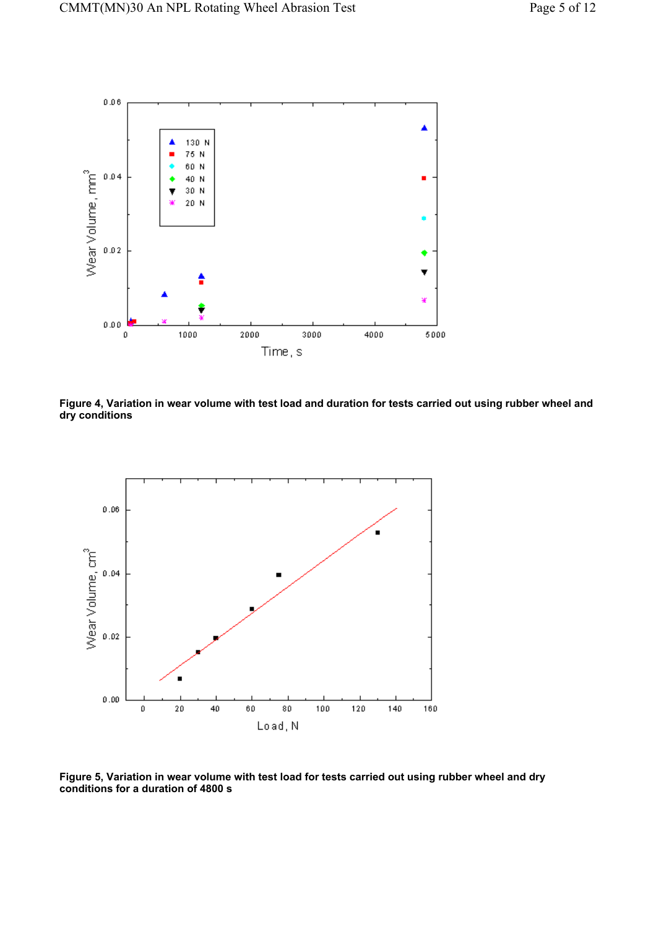

**Figure 4, Variation in wear volume with test load and duration for tests carried out using rubber wheel and dry conditions** 



**Figure 5, Variation in wear volume with test load for tests carried out using rubber wheel and dry conditions for a duration of 4800 s**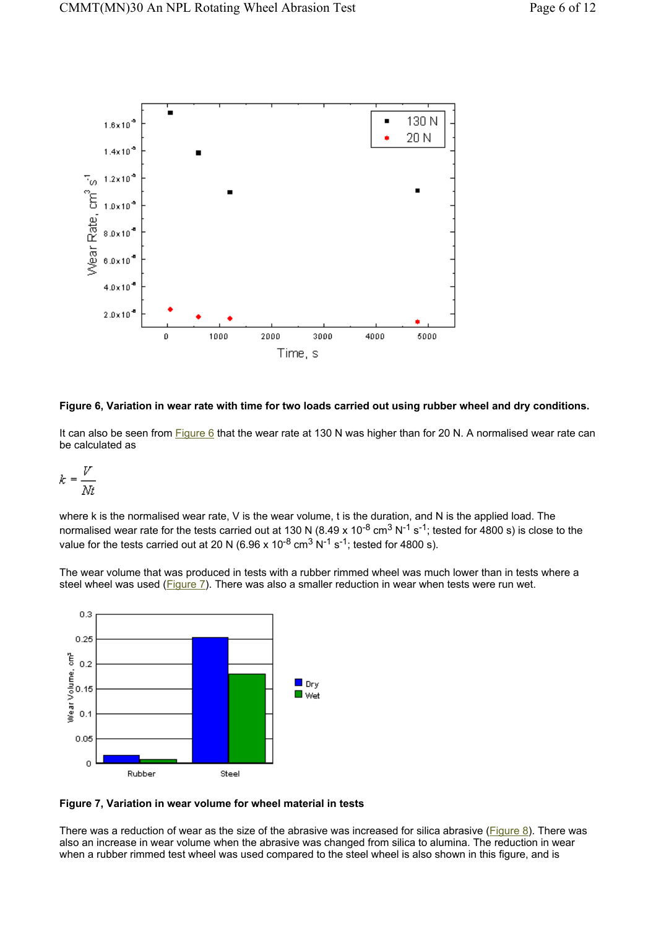

**Figure 6, Variation in wear rate with time for two loads carried out using rubber wheel and dry conditions.** 

It can also be seen from Figure 6 that the wear rate at 130 N was higher than for 20 N. A normalised wear rate can be calculated as

$$
k = \frac{V}{Nt}
$$

where k is the normalised wear rate, V is the wear volume, t is the duration, and N is the applied load. The normalised wear rate for the tests carried out at 130 N (8.49 x 10<sup>-8</sup> cm<sup>3</sup> N<sup>-1</sup> s<sup>-1</sup>; tested for 4800 s) is close to the value for the tests carried out at 20 N (6.96 x 10<sup>-8</sup> cm<sup>3</sup> N<sup>-1</sup> s<sup>-1</sup>; tested for 4800 s).

The wear volume that was produced in tests with a rubber rimmed wheel was much lower than in tests where a steel wheel was used (**Figure 7**). There was also a smaller reduction in wear when tests were run wet.



**Figure 7, Variation in wear volume for wheel material in tests** 

There was a reduction of wear as the size of the abrasive was increased for silica abrasive ( $Figure 8$ ). There was also an increase in wear volume when the abrasive was changed from silica to alumina. The reduction in wear when a rubber rimmed test wheel was used compared to the steel wheel is also shown in this figure, and is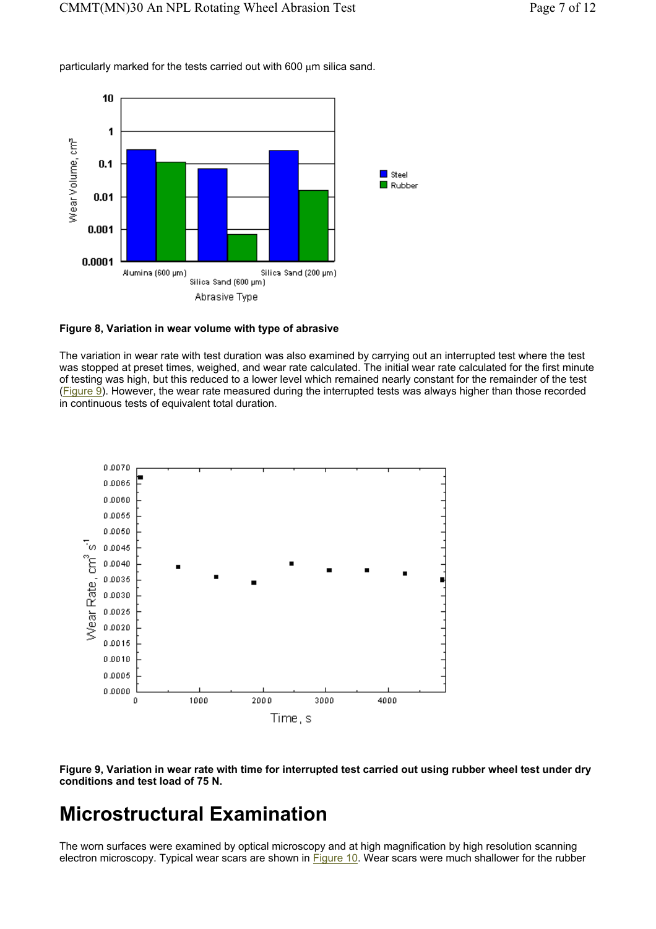particularly marked for the tests carried out with 600  $\mu$ m silica sand.



#### **Figure 8, Variation in wear volume with type of abrasive**

The variation in wear rate with test duration was also examined by carrying out an interrupted test where the test was stopped at preset times, weighed, and wear rate calculated. The initial wear rate calculated for the first minute of testing was high, but this reduced to a lower level which remained nearly constant for the remainder of the test (Figure 9). However, the wear rate measured during the interrupted tests was always higher than those recorded in continuous tests of equivalent total duration.



**Figure 9, Variation in wear rate with time for interrupted test carried out using rubber wheel test under dry conditions and test load of 75 N.** 

# **Microstructural Examination**

The worn surfaces were examined by optical microscopy and at high magnification by high resolution scanning electron microscopy. Typical wear scars are shown in Figure 10. Wear scars were much shallower for the rubber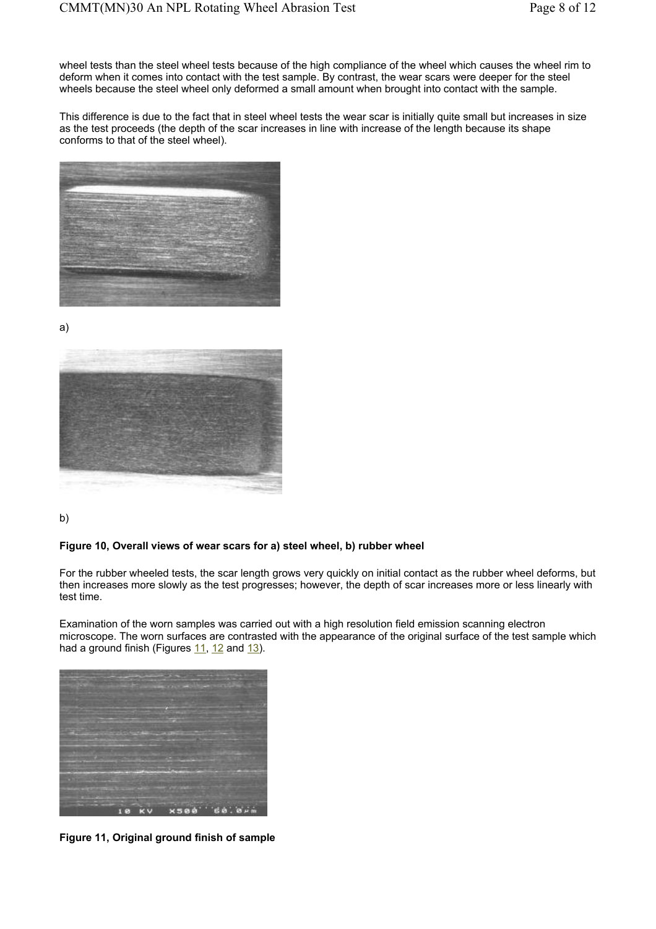wheel tests than the steel wheel tests because of the high compliance of the wheel which causes the wheel rim to deform when it comes into contact with the test sample. By contrast, the wear scars were deeper for the steel wheels because the steel wheel only deformed a small amount when brought into contact with the sample.

This difference is due to the fact that in steel wheel tests the wear scar is initially quite small but increases in size as the test proceeds (the depth of the scar increases in line with increase of the length because its shape conforms to that of the steel wheel).



a)



b)

#### **Figure 10, Overall views of wear scars for a) steel wheel, b) rubber wheel**

For the rubber wheeled tests, the scar length grows very quickly on initial contact as the rubber wheel deforms, but then increases more slowly as the test progresses; however, the depth of scar increases more or less linearly with test time.

Examination of the worn samples was carried out with a high resolution field emission scanning electron microscope. The worn surfaces are contrasted with the appearance of the original surface of the test sample which had a ground finish (Figures  $11$ ,  $12$  and  $13$ ).



**Figure 11, Original ground finish of sample**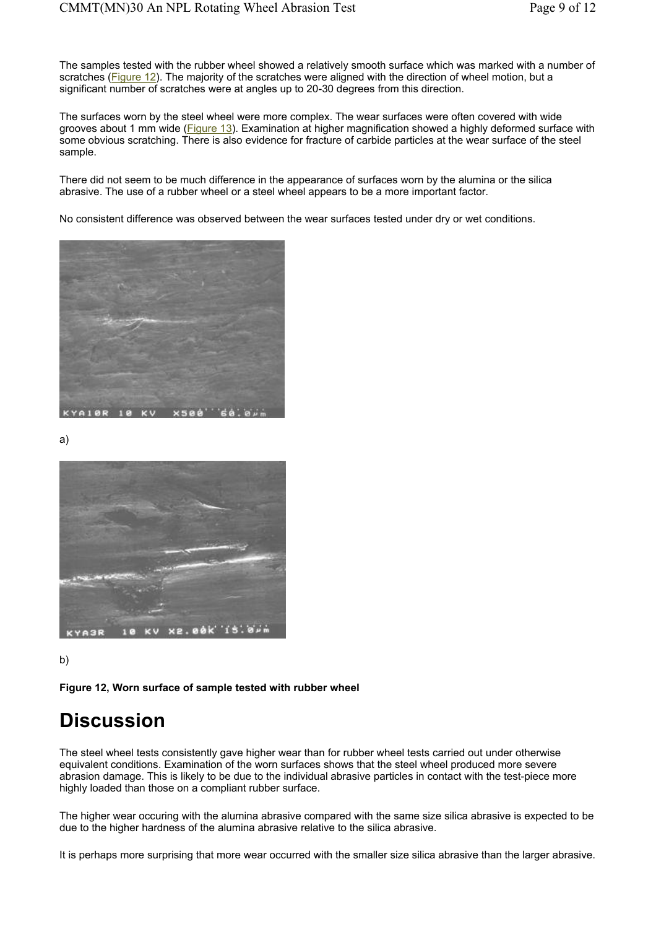The samples tested with the rubber wheel showed a relatively smooth surface which was marked with a number of scratches (Figure 12). The majority of the scratches were aligned with the direction of wheel motion, but a significant number of scratches were at angles up to 20-30 degrees from this direction.

The surfaces worn by the steel wheel were more complex. The wear surfaces were often covered with wide grooves about 1 mm wide (Figure 13). Examination at higher magnification showed a highly deformed surface with some obvious scratching. There is also evidence for fracture of carbide particles at the wear surface of the steel sample.

There did not seem to be much difference in the appearance of surfaces worn by the alumina or the silica abrasive. The use of a rubber wheel or a steel wheel appears to be a more important factor.

No consistent difference was observed between the wear surfaces tested under dry or wet conditions.



a)



b)

**Figure 12, Worn surface of sample tested with rubber wheel** 

### **Discussion**

The steel wheel tests consistently gave higher wear than for rubber wheel tests carried out under otherwise equivalent conditions. Examination of the worn surfaces shows that the steel wheel produced more severe abrasion damage. This is likely to be due to the individual abrasive particles in contact with the test-piece more highly loaded than those on a compliant rubber surface.

The higher wear occuring with the alumina abrasive compared with the same size silica abrasive is expected to be due to the higher hardness of the alumina abrasive relative to the silica abrasive.

It is perhaps more surprising that more wear occurred with the smaller size silica abrasive than the larger abrasive.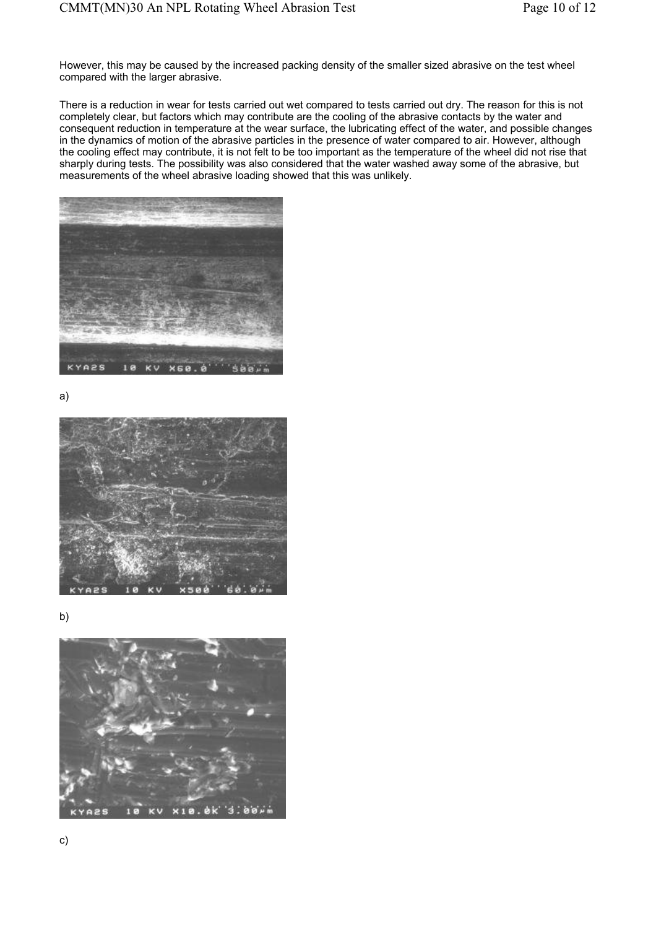However, this may be caused by the increased packing density of the smaller sized abrasive on the test wheel compared with the larger abrasive.

There is a reduction in wear for tests carried out wet compared to tests carried out dry. The reason for this is not completely clear, but factors which may contribute are the cooling of the abrasive contacts by the water and consequent reduction in temperature at the wear surface, the lubricating effect of the water, and possible changes in the dynamics of motion of the abrasive particles in the presence of water compared to air. However, although the cooling effect may contribute, it is not felt to be too important as the temperature of the wheel did not rise that sharply during tests. The possibility was also considered that the water washed away some of the abrasive, but measurements of the wheel abrasive loading showed that this was unlikely.



a)



b)

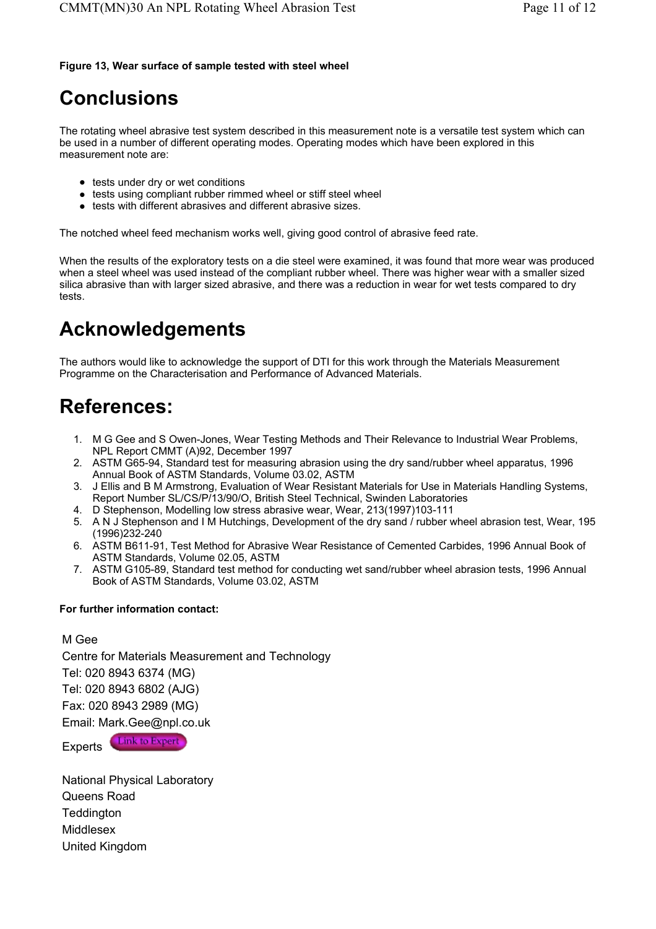#### **Figure 13, Wear surface of sample tested with steel wheel**

# **Conclusions**

The rotating wheel abrasive test system described in this measurement note is a versatile test system which can be used in a number of different operating modes. Operating modes which have been explored in this measurement note are:

- $\bullet$  tests under dry or wet conditions
- $\bullet$  tests using compliant rubber rimmed wheel or stiff steel wheel
- $\bullet$  tests with different abrasives and different abrasive sizes.

The notched wheel feed mechanism works well, giving good control of abrasive feed rate.

When the results of the exploratory tests on a die steel were examined, it was found that more wear was produced when a steel wheel was used instead of the compliant rubber wheel. There was higher wear with a smaller sized silica abrasive than with larger sized abrasive, and there was a reduction in wear for wet tests compared to dry tests.

# **Acknowledgements**

The authors would like to acknowledge the support of DTI for this work through the Materials Measurement Programme on the Characterisation and Performance of Advanced Materials.

# **References:**

- 1. M G Gee and S Owen-Jones, Wear Testing Methods and Their Relevance to Industrial Wear Problems, NPL Report CMMT (A)92, December 1997
- 2. ASTM G65-94, Standard test for measuring abrasion using the dry sand/rubber wheel apparatus, 1996 Annual Book of ASTM Standards, Volume 03.02, ASTM
- 3. J Ellis and B M Armstrong, Evaluation of Wear Resistant Materials for Use in Materials Handling Systems, Report Number SL/CS/P/13/90/O, British Steel Technical, Swinden Laboratories
- 4. D Stephenson, Modelling low stress abrasive wear, Wear, 213(1997)103-111
- 5. A N J Stephenson and I M Hutchings, Development of the dry sand / rubber wheel abrasion test, Wear, 195 (1996)232-240
- 6. ASTM B611-91, Test Method for Abrasive Wear Resistance of Cemented Carbides, 1996 Annual Book of ASTM Standards, Volume 02.05, ASTM
- 7. ASTM G105-89, Standard test method for conducting wet sand/rubber wheel abrasion tests, 1996 Annual Book of ASTM Standards, Volume 03.02, ASTM

#### **For further information contact:**

M Gee

Centre for Materials Measurement and Technology Tel: 020 8943 6374 (MG) Tel: 020 8943 6802 (AJG) Fax: 020 8943 2989 (MG) Email: Mark.Gee@npl.co.uk **Link to Expert** 

Experts

National Physical Laboratory Queens Road **Teddington** Middlesex United Kingdom